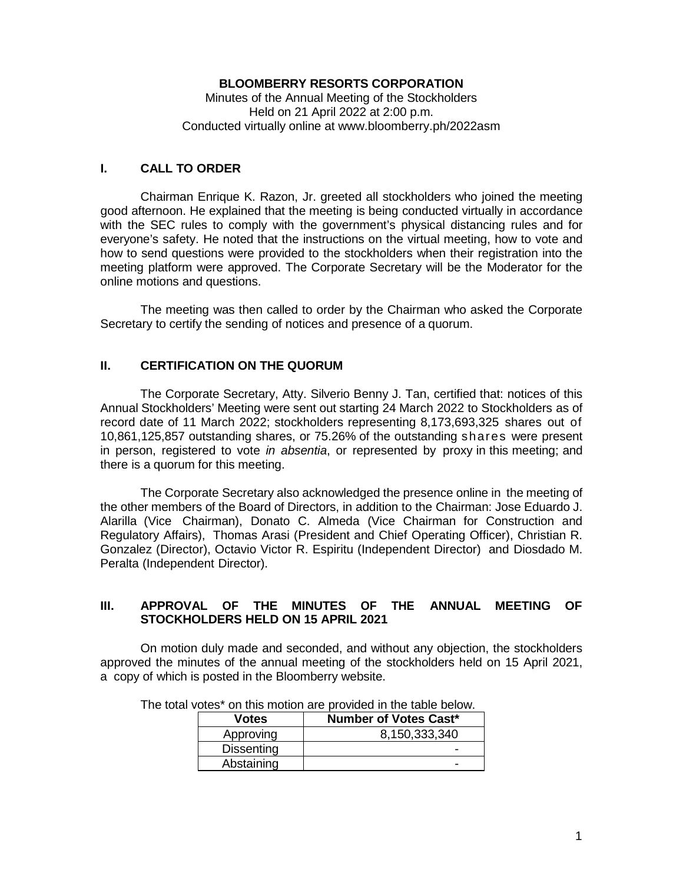## **BLOOMBERRY RESORTS CORPORATION**

Minutes of the Annual Meeting of the Stockholders Held on 21 April 2022 at 2:00 p.m. Conducted virtually online at www.bloomberry.ph/2022asm

## **I. CALL TO ORDER**

Chairman Enrique K. Razon, Jr. greeted all stockholders who joined the meeting good afternoon. He explained that the meeting is being conducted virtually in accordance with the SEC rules to comply with the government's physical distancing rules and for everyone's safety. He noted that the instructions on the virtual meeting, how to vote and how to send questions were provided to the stockholders when their registration into the meeting platform were approved. The Corporate Secretary will be the Moderator for the online motions and questions.

The meeting was then called to order by the Chairman who asked the Corporate Secretary to certify the sending of notices and presence of a quorum.

## **II. CERTIFICATION ON THE QUORUM**

The Corporate Secretary, Atty. Silverio Benny J. Tan, certified that: notices of this Annual Stockholders' Meeting were sent out starting 24 March 2022 to Stockholders as of record date of 11 March 2022; stockholders representing 8,173,693,325 shares out of 10,861,125,857 outstanding shares, or 75.26% of the outstanding shares were present in person, registered to vote *in absentia*, or represented by proxy in this meeting; and there is a quorum for this meeting.

The Corporate Secretary also acknowledged the presence online in the meeting of the other members of the Board of Directors, in addition to the Chairman: Jose Eduardo J. Alarilla (Vice Chairman), Donato C. Almeda (Vice Chairman for Construction and Regulatory Affairs), Thomas Arasi (President and Chief Operating Officer), Christian R. Gonzalez (Director), Octavio Victor R. Espiritu (Independent Director) and Diosdado M. Peralta (Independent Director).

## **III. APPROVAL OF THE MINUTES OF THE ANNUAL MEETING OF STOCKHOLDERS HELD ON 15 APRIL 2021**

On motion duly made and seconded, and without any objection, the stockholders approved the minutes of the annual meeting of the stockholders held on 15 April 2021, a copy of which is posted in the Bloomberry website.

| <b>Votes</b>      | <b>Number of Votes Cast*</b> |
|-------------------|------------------------------|
| Approving         | 8,150,333,340                |
| <b>Dissenting</b> | -                            |
| Abstaining        |                              |

The total votes\* on this motion are provided in the table below.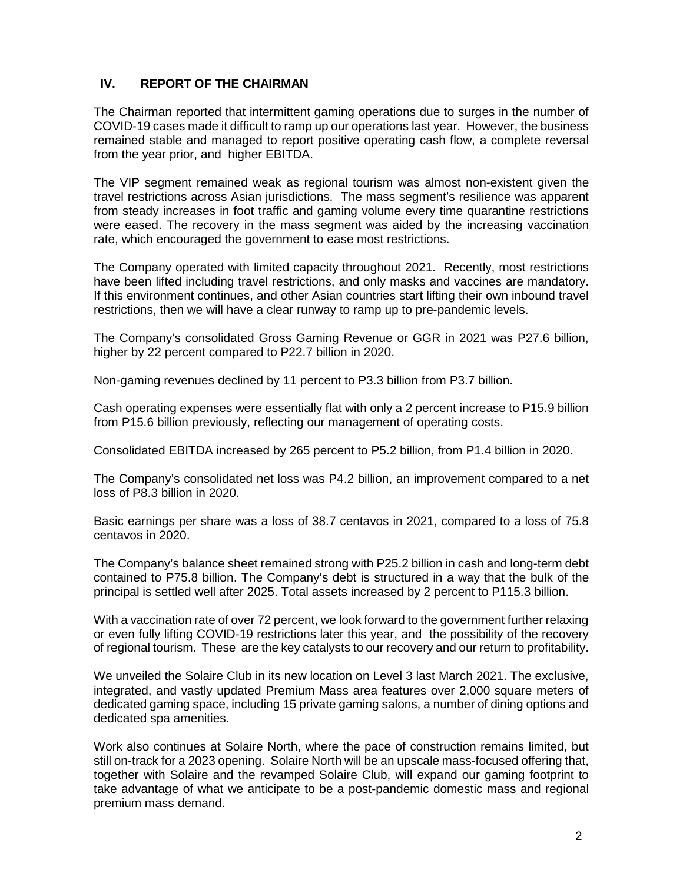# **IV. REPORT OF THE CHAIRMAN**

The Chairman reported that intermittent gaming operations due to surges in the number of COVID-19 cases made it difficult to ramp up our operations last year. However, the business remained stable and managed to report positive operating cash flow, a complete reversal from the year prior, and higher EBITDA.

The VIP segment remained weak as regional tourism was almost non-existent given the travel restrictions across Asian jurisdictions. The mass segment's resilience was apparent from steady increases in foot traffic and gaming volume every time quarantine restrictions were eased. The recovery in the mass segment was aided by the increasing vaccination rate, which encouraged the government to ease most restrictions.

The Company operated with limited capacity throughout 2021. Recently, most restrictions have been lifted including travel restrictions, and only masks and vaccines are mandatory. If this environment continues, and other Asian countries start lifting their own inbound travel restrictions, then we will have a clear runway to ramp up to pre-pandemic levels.

The Company's consolidated Gross Gaming Revenue or GGR in 2021 was P27.6 billion, higher by 22 percent compared to P22.7 billion in 2020.

Non-gaming revenues declined by 11 percent to P3.3 billion from P3.7 billion.

Cash operating expenses were essentially flat with only a 2 percent increase to P15.9 billion from P15.6 billion previously, reflecting our management of operating costs.

Consolidated EBITDA increased by 265 percent to P5.2 billion, from P1.4 billion in 2020.

The Company's consolidated net loss was P4.2 billion, an improvement compared to a net loss of P8.3 billion in 2020.

Basic earnings per share was a loss of 38.7 centavos in 2021, compared to a loss of 75.8 centavos in 2020.

The Company's balance sheet remained strong with P25.2 billion in cash and long-term debt contained to P75.8 billion. The Company's debt is structured in a way that the bulk of the principal is settled well after 2025. Total assets increased by 2 percent to P115.3 billion.

With a vaccination rate of over 72 percent, we look forward to the government further relaxing or even fully lifting COVID-19 restrictions later this year, and the possibility of the recovery of regional tourism. These are the key catalysts to our recovery and our return to profitability.

We unveiled the Solaire Club in its new location on Level 3 last March 2021. The exclusive, integrated, and vastly updated Premium Mass area features over 2,000 square meters of dedicated gaming space, including 15 private gaming salons, a number of dining options and dedicated spa amenities.

Work also continues at Solaire North, where the pace of construction remains limited, but still on-track for a 2023 opening. Solaire North will be an upscale mass-focused offering that, together with Solaire and the revamped Solaire Club, will expand our gaming footprint to take advantage of what we anticipate to be a post-pandemic domestic mass and regional premium mass demand.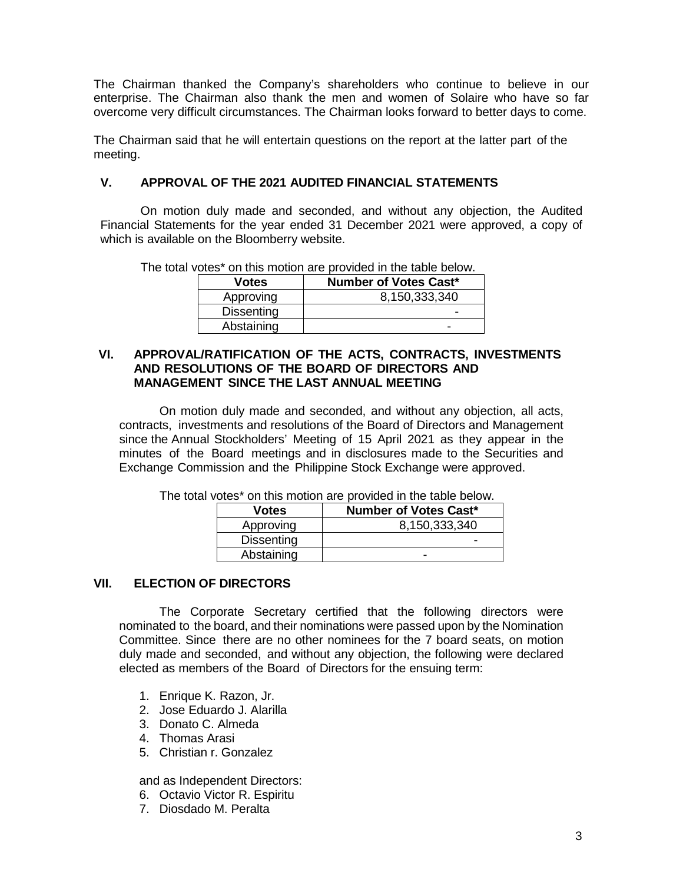The Chairman thanked the Company's shareholders who continue to believe in our enterprise. The Chairman also thank the men and women of Solaire who have so far overcome very difficult circumstances. The Chairman looks forward to better days to come.

The Chairman said that he will entertain questions on the report at the latter part of the meeting.

## **V. APPROVAL OF THE 2021 AUDITED FINANCIAL STATEMENTS**

On motion duly made and seconded, and without any objection, the Audited Financial Statements for the year ended 31 December 2021 were approved, a copy of which is available on the Bloomberry website.

The total votes\* on this motion are provided in the table below.

| <b>Votes</b>      | <b>Number of Votes Cast*</b> |
|-------------------|------------------------------|
| Approving         | 8,150,333,340                |
| <b>Dissenting</b> |                              |
| Abstaining        | -                            |

#### **VI. APPROVAL/RATIFICATION OF THE ACTS, CONTRACTS, INVESTMENTS AND RESOLUTIONS OF THE BOARD OF DIRECTORS AND MANAGEMENT SINCE THE LAST ANNUAL MEETING**

On motion duly made and seconded, and without any objection, all acts, contracts, investments and resolutions of the Board of Directors and Management since the Annual Stockholders' Meeting of 15 April 2021 as they appear in the minutes of the Board meetings and in disclosures made to the Securities and Exchange Commission and the Philippine Stock Exchange were approved.

| <b>Votes</b>      | <b>Number of Votes Cast*</b> |  |
|-------------------|------------------------------|--|
| Approving         | 8,150,333,340                |  |
| <b>Dissenting</b> | -                            |  |
| Abstaining        |                              |  |

The total votes\* on this motion are provided in the table below.

## **VII. ELECTION OF DIRECTORS**

The Corporate Secretary certified that the following directors were nominated to the board, and their nominations were passed upon by the Nomination Committee. Since there are no other nominees for the 7 board seats, on motion duly made and seconded, and without any objection, the following were declared elected as members of the Board of Directors for the ensuing term:

- 1. Enrique K. Razon, Jr.
- 2. Jose Eduardo J. Alarilla
- 3. Donato C. Almeda
- 4. Thomas Arasi
- 5. Christian r. Gonzalez

and as Independent Directors:

- 6. Octavio Victor R. Espiritu
- 7. Diosdado M. Peralta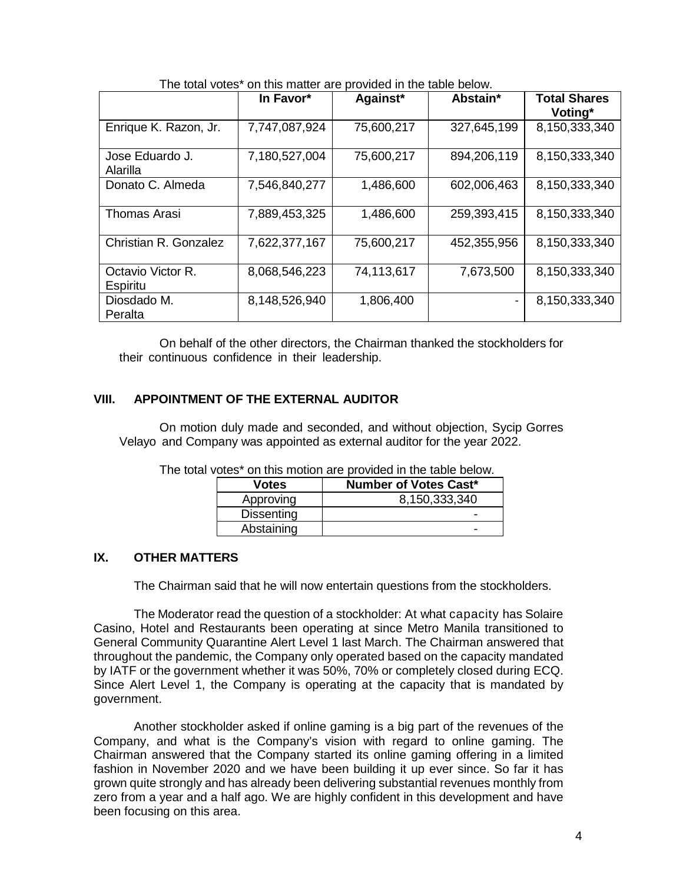|                               | The tetal veloc of this matter are provided in the table below. |            |             |                                |
|-------------------------------|-----------------------------------------------------------------|------------|-------------|--------------------------------|
|                               | In Favor*                                                       | Against*   | Abstain*    | <b>Total Shares</b><br>Voting* |
| Enrique K. Razon, Jr.         | 7,747,087,924                                                   | 75,600,217 | 327,645,199 | 8,150,333,340                  |
| Jose Eduardo J.<br>Alarilla   | 7,180,527,004                                                   | 75,600,217 | 894,206,119 | 8,150,333,340                  |
| Donato C. Almeda              | 7,546,840,277                                                   | 1,486,600  | 602,006,463 | 8,150,333,340                  |
| <b>Thomas Arasi</b>           | 7,889,453,325                                                   | 1,486,600  | 259,393,415 | 8,150,333,340                  |
| Christian R. Gonzalez         | 7,622,377,167                                                   | 75,600,217 | 452,355,956 | 8,150,333,340                  |
| Octavio Victor R.<br>Espiritu | 8,068,546,223                                                   | 74,113,617 | 7,673,500   | 8,150,333,340                  |
| Diosdado M.<br>Peralta        | 8,148,526,940                                                   | 1,806,400  |             | 8,150,333,340                  |

The total votes\* on this matter are provided in the table below.

On behalf of the other directors, the Chairman thanked the stockholders for their continuous confidence in their leadership.

## **VIII. APPOINTMENT OF THE EXTERNAL AUDITOR**

On motion duly made and seconded, and without objection, Sycip Gorres Velayo and Company was appointed as external auditor for the year 2022.

| Votes             | <b>Number of Votes Cast*</b> |
|-------------------|------------------------------|
| Approving         | 8,150,333,340                |
| <b>Dissenting</b> | -                            |
| Abstaining        | -                            |

## **IX. OTHER MATTERS**

The Chairman said that he will now entertain questions from the stockholders.

The Moderator read the question of a stockholder: At what capacity has Solaire Casino, Hotel and Restaurants been operating at since Metro Manila transitioned to General Community Quarantine Alert Level 1 last March. The Chairman answered that throughout the pandemic, the Company only operated based on the capacity mandated by IATF or the government whether it was 50%, 70% or completely closed during ECQ. Since Alert Level 1, the Company is operating at the capacity that is mandated by government.

Another stockholder asked if online gaming is a big part of the revenues of the Company, and what is the Company's vision with regard to online gaming. The Chairman answered that the Company started its online gaming offering in a limited fashion in November 2020 and we have been building it up ever since. So far it has grown quite strongly and has already been delivering substantial revenues monthly from zero from a year and a half ago. We are highly confident in this development and have been focusing on this area.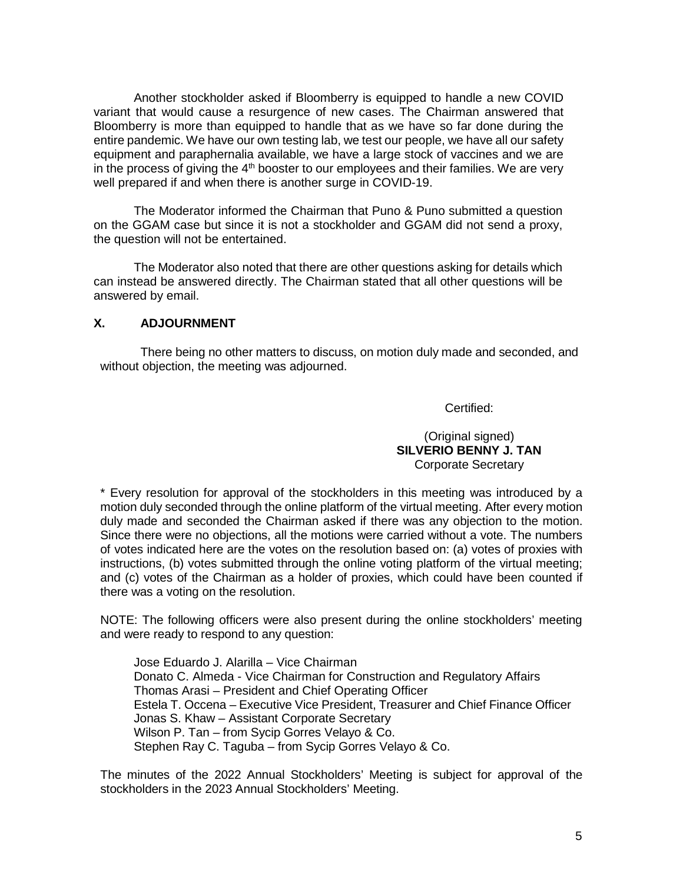Another stockholder asked if Bloomberry is equipped to handle a new COVID variant that would cause a resurgence of new cases. The Chairman answered that Bloomberry is more than equipped to handle that as we have so far done during the entire pandemic. We have our own testing lab, we test our people, we have all our safety equipment and paraphernalia available, we have a large stock of vaccines and we are in the process of giving the  $4<sup>th</sup>$  booster to our employees and their families. We are very well prepared if and when there is another surge in COVID-19.

The Moderator informed the Chairman that Puno & Puno submitted a question on the GGAM case but since it is not a stockholder and GGAM did not send a proxy, the question will not be entertained.

The Moderator also noted that there are other questions asking for details which can instead be answered directly. The Chairman stated that all other questions will be answered by email.

#### **X. ADJOURNMENT**

There being no other matters to discuss, on motion duly made and seconded, and without objection, the meeting was adjourned.

Certified:

(Original signed) **SILVERIO BENNY J. TAN** Corporate Secretary

\* Every resolution for approval of the stockholders in this meeting was introduced by a motion duly seconded through the online platform of the virtual meeting. After every motion duly made and seconded the Chairman asked if there was any objection to the motion. Since there were no objections, all the motions were carried without a vote. The numbers of votes indicated here are the votes on the resolution based on: (a) votes of proxies with instructions, (b) votes submitted through the online voting platform of the virtual meeting; and (c) votes of the Chairman as a holder of proxies, which could have been counted if there was a voting on the resolution.

NOTE: The following officers were also present during the online stockholders' meeting and were ready to respond to any question:

Jose Eduardo J. Alarilla – Vice Chairman Donato C. Almeda - Vice Chairman for Construction and Regulatory Affairs Thomas Arasi – President and Chief Operating Officer Estela T. Occena – Executive Vice President, Treasurer and Chief Finance Officer Jonas S. Khaw – Assistant Corporate Secretary Wilson P. Tan – from Sycip Gorres Velayo & Co. Stephen Ray C. Taguba – from Sycip Gorres Velayo & Co.

The minutes of the 2022 Annual Stockholders' Meeting is subject for approval of the stockholders in the 2023 Annual Stockholders' Meeting.